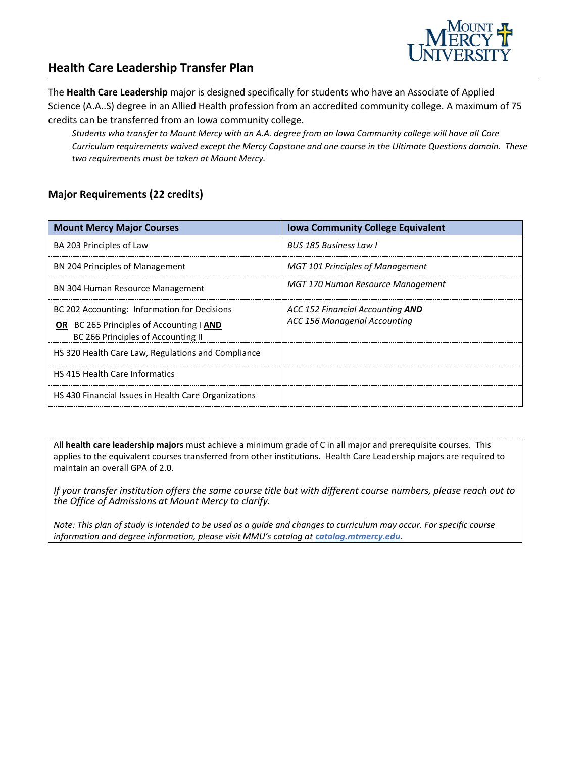

### **Health Care Leadership Transfer Plan**

The **Health Care Leadership** major is designed specifically for students who have an Associate of Applied Science (A.A..S) degree in an Allied Health profession from an accredited community college. A maximum of 75 credits can be transferred from an Iowa community college.

*Students who transfer to Mount Mercy with an A.A. degree from an Iowa Community college will have all Core Curriculum requirements waived except the Mercy Capstone and one course in the Ultimate Questions domain. These two requirements must be taken at Mount Mercy.* 

#### **Major Requirements (22 credits)**

| <b>Mount Mercy Major Courses</b>                                                                                                      | <b>Iowa Community College Equivalent</b>                          |
|---------------------------------------------------------------------------------------------------------------------------------------|-------------------------------------------------------------------|
| BA 203 Principles of Law                                                                                                              | BUS 185 Business Law L                                            |
| BN 204 Principles of Management                                                                                                       | <b>MGT 101 Principles of Management</b>                           |
| <b>BN 304 Human Resource Management</b>                                                                                               | MGT 170 Human Resource Management                                 |
| BC 202 Accounting: Information for Decisions<br><b>OR</b> BC 265 Principles of Accounting   AND<br>BC 266 Principles of Accounting II | ACC 152 Financial Accounting AND<br>ACC 156 Managerial Accounting |
| HS 320 Health Care Law, Regulations and Compliance                                                                                    |                                                                   |
| <b>HS 415 Health Care Informatics</b>                                                                                                 |                                                                   |
| HS 430 Financial Issues in Health Care Organizations                                                                                  |                                                                   |

All **health care leadership majors** must achieve a minimum grade of C in all major and prerequisite courses. This applies to the equivalent courses transferred from other institutions. Health Care Leadership majors are required to maintain an overall GPA of 2.0.

*If your transfer institution offers the same course title but with different course numbers, please reach out to the Office of Admissions at Mount Mercy to clarify.*

*Note: This plan of study is intended to be used as a guide and changes to curriculum may occur. For specific course*  information and degree information, please visit MMU's catalog at **catalog.mtmercy.edu**.